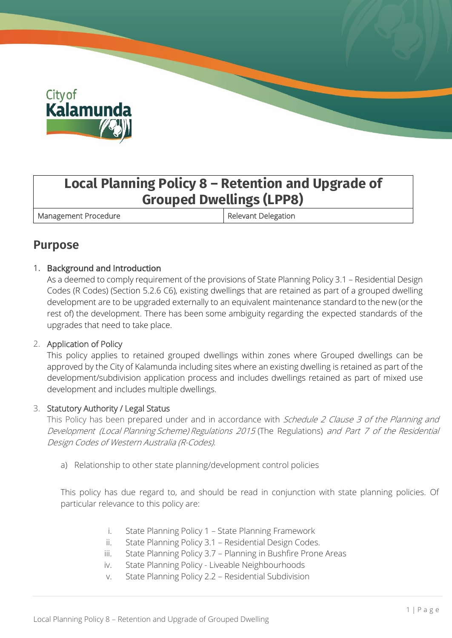

# **Local Planning Policy 8 – Retention and Upgrade of Grouped Dwellings (LPP8)**

Management Procedure **Relevant Delegation** 

### **Purpose**

### 1. Background and Introduction

As a deemed to comply requirement of the provisions of State Planning Policy 3.1 – Residential Design Codes (R Codes) (Section 5.2.6 C6), existing dwellings that are retained as part of a grouped dwelling development are to be upgraded externally to an equivalent maintenance standard to the new (or the rest of) the development. There has been some ambiguity regarding the expected standards of the upgrades that need to take place.

### 2. Application of Policy

This policy applies to retained grouped dwellings within zones where Grouped dwellings can be approved by the City of Kalamunda including sites where an existing dwelling is retained as part of the development/subdivision application process and includes dwellings retained as part of mixed use development and includes multiple dwellings.

### 3. Statutory Authority / Legal Status

This Policy has been prepared under and in accordance with Schedule 2 Clause 3 of the Planning and Development (Local Planning Scheme) Regulations <sup>2015</sup> (The Regulations) and Part <sup>7</sup> of the Residential Design Codes of Western Australia (R-Codes).

a) Relationship to other state planning/development control policies

This policy has due regard to, and should be read in conjunction with state planning policies. Of particular relevance to this policy are:

- i. State Planning Policy 1 State Planning Framework
- ii. State Planning Policy 3.1 Residential Design Codes.
- iii. State Planning Policy 3.7 Planning in Bushfire Prone Areas
- iv. State Planning Policy Liveable Neighbourhoods
- v. State Planning Policy 2.2 Residential Subdivision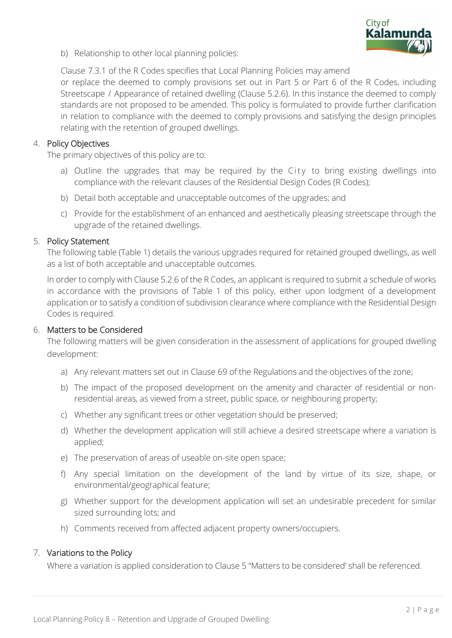

b) Relationship to other local planning policies:

Clause 7.3.1 of the R Codes specifies that Local Planning Policies may amend or replace the deemed to comply provisions set out in Part 5 or Part 6 of the R Codes, including Streetscape / Appearance of retained dwelling (Clause 5.2.6). In this instance the deemed to comply standards are not proposed to be amended. This policy is formulated to provide further clarification in relation to compliance with the deemed to comply provisions and satisfying the design principles relating with the retention of grouped dwellings.

#### 4. Policy Objectives

The primary objectives of this policy are to:

- a) Outline the upgrades that may be required by the City to bring existing dwellings into compliance with the relevant clauses of the Residential Design Codes (R Codes);
- b) Detail both acceptable and unacceptable outcomes of the upgrades; and
- c) Provide for the establishment of an enhanced and aesthetically pleasing streetscape through the upgrade of the retained dwellings.

#### 5. Policy Statement

The following table (Table 1) details the various upgrades required for retained grouped dwellings, as well as a list of both acceptable and unacceptable outcomes.

In order to comply with Clause 5.2.6 of the R Codes, an applicant is required to submit a schedule of works in accordance with the provisions of Table 1 of this policy, either upon lodgment of a development application or to satisfy a condition of subdivision clearance where compliance with the Residential Design Codes is required.

#### 6. Matters to be Considered

The following matters will be given consideration in the assessment of applications for grouped dwelling development:

- a) Any relevant matters set out in Clause 69 of the Regulations and the objectives of the zone;
- b) The impact of the proposed development on the amenity and character of residential or nonresidential areas, as viewed from a street, public space, or neighbouring property;
- c) Whether any significant trees or other vegetation should be preserved;
- d) Whether the development application will still achieve a desired streetscape where a variation is applied;
- e) The preservation of areas of useable on-site open space;
- f) Any special limitation on the development of the land by virtue of its size, shape, or environmental/geographical feature;
- g) Whether support for the development application will set an undesirable precedent for similar sized surrounding lots; and
- h) Comments received from affected adjacent property owners/occupiers.

#### 7. Variations to the Policy

Where a variation is applied consideration to Clause 5 "Matters to be considered' shall be referenced.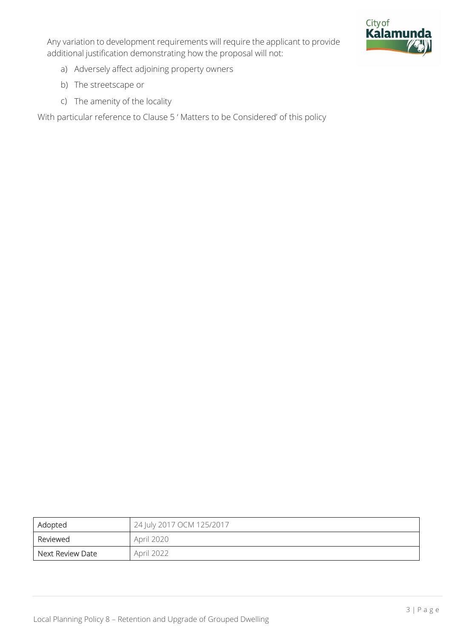



- a) Adversely affect adjoining property owners
- b) The streetscape or
- c) The amenity of the locality

With particular reference to Clause 5 ' Matters to be Considered' of this policy

| Adopted          | 24 July 2017 OCM 125/2017 |
|------------------|---------------------------|
| Reviewed         | April 2020                |
| Next Review Date | April 2022                |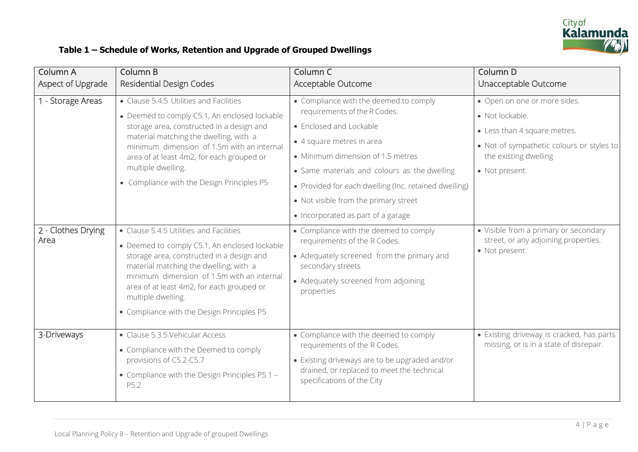

### **Table 1 – Schedule of Works, Retention and Upgrade of Grouped Dwellings**

| <b>Column A</b>            | <b>Column B</b>                                                                                                                                                                                                                                                                                                                                | Column C                                                                                                                                                                                                                                                                                                                                                    | Column D                                                                                                                                                                |
|----------------------------|------------------------------------------------------------------------------------------------------------------------------------------------------------------------------------------------------------------------------------------------------------------------------------------------------------------------------------------------|-------------------------------------------------------------------------------------------------------------------------------------------------------------------------------------------------------------------------------------------------------------------------------------------------------------------------------------------------------------|-------------------------------------------------------------------------------------------------------------------------------------------------------------------------|
| Aspect of Upgrade          | <b>Residential Design Codes</b>                                                                                                                                                                                                                                                                                                                | Acceptable Outcome                                                                                                                                                                                                                                                                                                                                          | Unacceptable Outcome                                                                                                                                                    |
| 1 - Storage Areas          | • Clause 5.4.5 Utilities and Facilities<br>• Deemed to comply C5.1, An enclosed lockable<br>storage area, constructed in a design and<br>material matching the dwelling, with a<br>minimum dimension of 1.5m with an internal<br>area of at least 4m2, for each grouped or<br>multiple dwelling.<br>• Compliance with the Design Principles P5 | • Compliance with the deemed to comply<br>requirements of the R Codes.<br>• Enclosed and Lockable<br>• 4 square metres in area<br>• Minimum dimension of 1.5 metres<br>• Same materials and colours as the dwelling<br>• Provided for each dwelling (Inc. retained dwelling)<br>• Not visible from the primary street<br>• Incorporated as part of a garage | • Open on one or more sides.<br>• Not lockable.<br>• Less than 4 square metres.<br>• Not of sympathetic colours or styles to<br>the existing dwelling<br>• Not present. |
| 2 - Clothes Drying<br>Area | • Clause 5.4.5 Utilities and Facilities<br>• Deemed to comply C5.1, An enclosed lockable<br>storage area, constructed in a design and<br>material matching the dwelling, with a<br>minimum dimension of 1.5m with an internal<br>area of at least 4m2, for each grouped or<br>multiple dwelling.<br>• Compliance with the Design Principles P5 | • Compliance with the deemed to comply<br>requirements of the R Codes.<br>• Adequately screened from the primary and<br>secondary streets<br>• Adequately screened from adjoining<br>properties                                                                                                                                                             | • Visible from a primary or secondary<br>street, or any adjoining properties.<br>• Not present.                                                                         |
| 3-Driveways                | • Clause 5.3.5 Vehicular Access<br>• Compliance with the Deemed to comply<br>provisions of C5.2-C5.7<br>• Compliance with the Design Principles P5.1 -<br>P5.2                                                                                                                                                                                 | • Compliance with the deemed to comply<br>requirements of the R Codes.<br>• Existing driveways are to be upgraded and/or<br>drained, or replaced to meet the technical<br>specifications of the City                                                                                                                                                        | • Existing driveway is cracked, has parts<br>missing, or is in a state of disrepair.                                                                                    |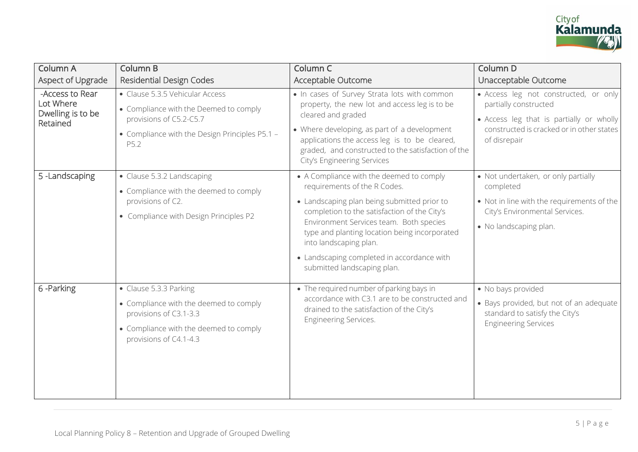

| <b>Column A</b>                                               | <b>Column B</b>                                                                                                                                                | Column C                                                                                                                                                                                                                                                                                                                                                                   | Column D                                                                                                                                                                |
|---------------------------------------------------------------|----------------------------------------------------------------------------------------------------------------------------------------------------------------|----------------------------------------------------------------------------------------------------------------------------------------------------------------------------------------------------------------------------------------------------------------------------------------------------------------------------------------------------------------------------|-------------------------------------------------------------------------------------------------------------------------------------------------------------------------|
| Aspect of Upgrade                                             | <b>Residential Design Codes</b>                                                                                                                                | Acceptable Outcome                                                                                                                                                                                                                                                                                                                                                         | Unacceptable Outcome                                                                                                                                                    |
| -Access to Rear<br>Lot Where<br>Dwelling is to be<br>Retained | • Clause 5.3.5 Vehicular Access<br>• Compliance with the Deemed to comply<br>provisions of C5.2-C5.7<br>• Compliance with the Design Principles P5.1 -<br>P5.2 | . In cases of Survey Strata lots with common<br>property, the new lot and access leg is to be<br>cleared and graded<br>• Where developing, as part of a development<br>applications the access leg is to be cleared,<br>graded, and constructed to the satisfaction of the<br>City's Engineering Services                                                                  | · Access leg not constructed, or only<br>partially constructed<br>• Access leg that is partially or wholly<br>constructed is cracked or in other states<br>of disrepair |
| 5-Landscaping                                                 | • Clause 5.3.2 Landscaping<br>• Compliance with the deemed to comply<br>provisions of C2.<br>• Compliance with Design Principles P2                            | • A Compliance with the deemed to comply<br>requirements of the R Codes.<br>• Landscaping plan being submitted prior to<br>completion to the satisfaction of the City's<br>Environment Services team. Both species<br>type and planting location being incorporated<br>into landscaping plan.<br>• Landscaping completed in accordance with<br>submitted landscaping plan. | • Not undertaken, or only partially<br>completed<br>• Not in line with the requirements of the<br>City's Environmental Services.<br>• No landscaping plan.              |
| 6-Parking                                                     | • Clause 5.3.3 Parking<br>• Compliance with the deemed to comply<br>provisions of C3.1-3.3<br>• Compliance with the deemed to comply<br>provisions of C4.1-4.3 | • The required number of parking bays in<br>accordance with C3.1 are to be constructed and<br>drained to the satisfaction of the City's<br>Engineering Services.                                                                                                                                                                                                           | • No bays provided<br>• Bays provided, but not of an adequate<br>standard to satisfy the City's<br><b>Engineering Services</b>                                          |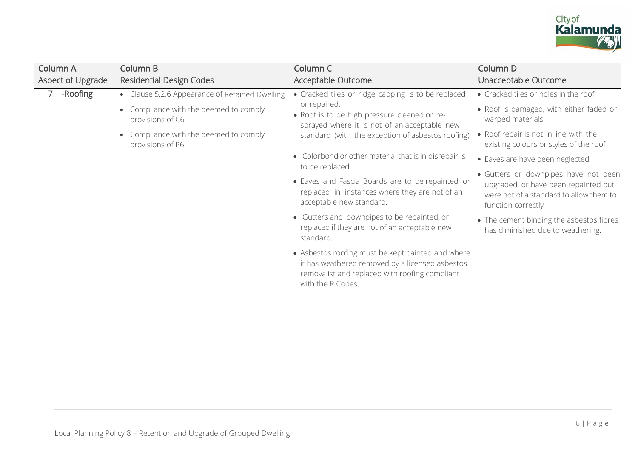

| <b>Column A</b>   | Column B                                                              | Column C                                                                                                                                                                    | Column D                                                                                                                                      |
|-------------------|-----------------------------------------------------------------------|-----------------------------------------------------------------------------------------------------------------------------------------------------------------------------|-----------------------------------------------------------------------------------------------------------------------------------------------|
| Aspect of Upgrade | <b>Residential Design Codes</b>                                       | Acceptable Outcome                                                                                                                                                          | Unacceptable Outcome                                                                                                                          |
| -Roofing          | • Clause 5.2.6 Appearance of Retained Dwelling                        | • Cracked tiles or ridge capping is to be replaced                                                                                                                          | • Cracked tiles or holes in the roof                                                                                                          |
|                   | • Compliance with the deemed to comply<br>provisions of C6            | or repaired.<br>• Roof is to be high pressure cleaned or re-<br>sprayed where it is not of an acceptable new                                                                | . Roof is damaged, with either faded or<br>warped materials                                                                                   |
|                   | Compliance with the deemed to comply<br>$\bullet$<br>provisions of P6 | standard (with the exception of asbestos roofing)                                                                                                                           | • Roof repair is not in line with the<br>existing colours or styles of the roof                                                               |
|                   |                                                                       | • Colorbond or other material that is in disrepair is<br>to be replaced.                                                                                                    | • Eaves are have been neglected                                                                                                               |
|                   |                                                                       | • Eaves and Fascia Boards are to be repainted or<br>replaced in instances where they are not of an<br>acceptable new standard.                                              | · Gutters or downpipes have not been<br>upgraded, or have been repainted but<br>were not of a standard to allow them to<br>function correctly |
|                   |                                                                       | • Gutters and downpipes to be repainted, or<br>replaced if they are not of an acceptable new<br>standard.                                                                   | • The cement binding the asbestos fibres<br>has diminished due to weathering.                                                                 |
|                   |                                                                       | • Asbestos roofing must be kept painted and where<br>it has weathered removed by a licensed asbestos<br>removalist and replaced with roofing compliant<br>with the R Codes. |                                                                                                                                               |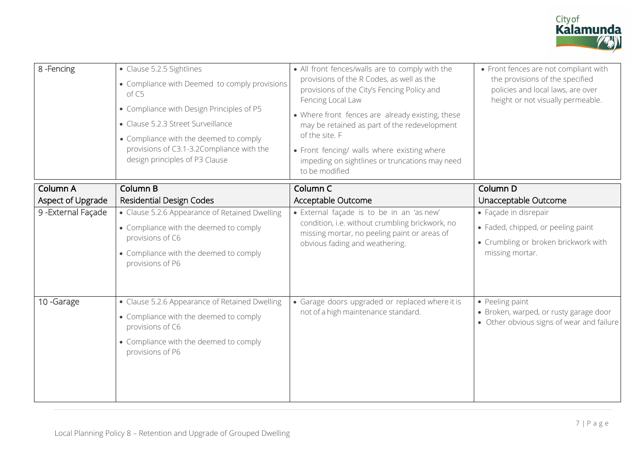

| 8-Fencing         | • Clause 5.2.5 Sightlines<br>• Compliance with Deemed to comply provisions<br>of C5<br>• Compliance with Design Principles of P5<br>• Clause 5.2.3 Street Surveillance<br>• Compliance with the deemed to comply<br>provisions of C3.1-3.2Compliance with the<br>design principles of P3 Clause | • All front fences/walls are to comply with the<br>provisions of the R Codes, as well as the<br>provisions of the City's Fencing Policy and<br>Fencing Local Law<br>• Where front fences are already existing, these<br>may be retained as part of the redevelopment<br>of the site. F<br>• Front fencing/ walls where existing where<br>impeding on sightlines or truncations may need<br>to be modified | • Front fences are not compliant with<br>the provisions of the specified<br>policies and local laws, are over<br>height or not visually permeable. |
|-------------------|-------------------------------------------------------------------------------------------------------------------------------------------------------------------------------------------------------------------------------------------------------------------------------------------------|-----------------------------------------------------------------------------------------------------------------------------------------------------------------------------------------------------------------------------------------------------------------------------------------------------------------------------------------------------------------------------------------------------------|----------------------------------------------------------------------------------------------------------------------------------------------------|
| <b>Column A</b>   | <b>Column B</b>                                                                                                                                                                                                                                                                                 | Column <sub>C</sub>                                                                                                                                                                                                                                                                                                                                                                                       | Column D                                                                                                                                           |
| Aspect of Upgrade | <b>Residential Design Codes</b>                                                                                                                                                                                                                                                                 | Acceptable Outcome                                                                                                                                                                                                                                                                                                                                                                                        | Unacceptable Outcome                                                                                                                               |
| 9-External Façade | • Clause 5.2.6 Appearance of Retained Dwelling                                                                                                                                                                                                                                                  | · External façade is to be in an 'as new'                                                                                                                                                                                                                                                                                                                                                                 | • Façade in disrepair                                                                                                                              |
|                   | • Compliance with the deemed to comply                                                                                                                                                                                                                                                          | condition, i.e. without crumbling brickwork, no<br>missing mortar, no peeling paint or areas of                                                                                                                                                                                                                                                                                                           | • Faded, chipped, or peeling paint                                                                                                                 |
|                   | provisions of C6                                                                                                                                                                                                                                                                                | obvious fading and weathering.                                                                                                                                                                                                                                                                                                                                                                            | • Crumbling or broken brickwork with                                                                                                               |
|                   | • Compliance with the deemed to comply<br>provisions of P6                                                                                                                                                                                                                                      |                                                                                                                                                                                                                                                                                                                                                                                                           | missing mortar.                                                                                                                                    |
| 10-Garage         | • Clause 5.2.6 Appearance of Retained Dwelling                                                                                                                                                                                                                                                  | • Garage doors upgraded or replaced where it is                                                                                                                                                                                                                                                                                                                                                           | • Peeling paint                                                                                                                                    |
|                   | • Compliance with the deemed to comply                                                                                                                                                                                                                                                          | not of a high maintenance standard.                                                                                                                                                                                                                                                                                                                                                                       | • Broken, warped, or rusty garage door<br>• Other obvious signs of wear and failure                                                                |
|                   | provisions of C6                                                                                                                                                                                                                                                                                |                                                                                                                                                                                                                                                                                                                                                                                                           |                                                                                                                                                    |
|                   | • Compliance with the deemed to comply<br>provisions of P6                                                                                                                                                                                                                                      |                                                                                                                                                                                                                                                                                                                                                                                                           |                                                                                                                                                    |
|                   |                                                                                                                                                                                                                                                                                                 |                                                                                                                                                                                                                                                                                                                                                                                                           |                                                                                                                                                    |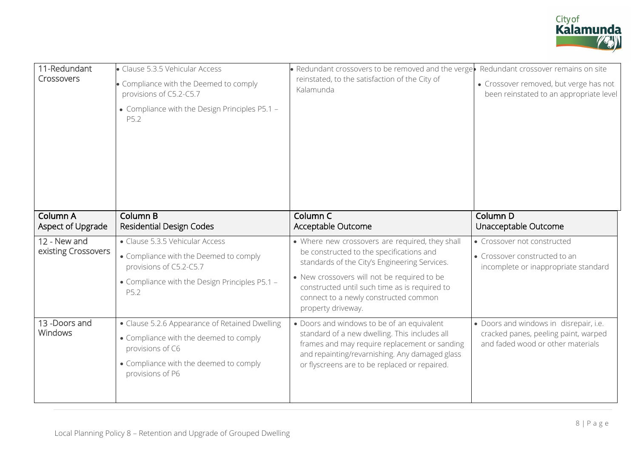

| 11-Redundant<br>Crossovers          | · Clause 5.3.5 Vehicular Access<br>• Compliance with the Deemed to comply<br>provisions of C5.2-C5.7<br>• Compliance with the Design Principles P5.1 -<br>P5.2             | • Redundant crossovers to be removed and the verge<br>reinstated, to the satisfaction of the City of<br>Kalamunda                                                                                                                                                                                           | Redundant crossover remains on site<br>• Crossover removed, but verge has not<br>been reinstated to an appropriate level |
|-------------------------------------|----------------------------------------------------------------------------------------------------------------------------------------------------------------------------|-------------------------------------------------------------------------------------------------------------------------------------------------------------------------------------------------------------------------------------------------------------------------------------------------------------|--------------------------------------------------------------------------------------------------------------------------|
| Column A<br>Aspect of Upgrade       | <b>Column B</b><br><b>Residential Design Codes</b>                                                                                                                         | Column <sub>C</sub><br>Acceptable Outcome                                                                                                                                                                                                                                                                   | Column D<br>Unacceptable Outcome                                                                                         |
| 12 - New and<br>existing Crossovers | • Clause 5.3.5 Vehicular Access<br>• Compliance with the Deemed to comply<br>provisions of C5.2-C5.7<br>• Compliance with the Design Principles P5.1 -<br>P5.2             | • Where new crossovers are required, they shall<br>be constructed to the specifications and<br>standards of the City's Engineering Services.<br>• New crossovers will not be required to be<br>constructed until such time as is required to<br>connect to a newly constructed common<br>property driveway. | • Crossover not constructed<br>• Crossover constructed to an<br>incomplete or inappropriate standard                     |
| 13 -Doors and<br><b>Windows</b>     | • Clause 5.2.6 Appearance of Retained Dwelling<br>• Compliance with the deemed to comply<br>provisions of C6<br>• Compliance with the deemed to comply<br>provisions of P6 | • Doors and windows to be of an equivalent<br>standard of a new dwelling. This includes all<br>frames and may require replacement or sanding<br>and repainting/revarnishing. Any damaged glass<br>or flyscreens are to be replaced or repaired.                                                             | • Doors and windows in disrepair, i.e.<br>cracked panes, peeling paint, warped<br>and faded wood or other materials      |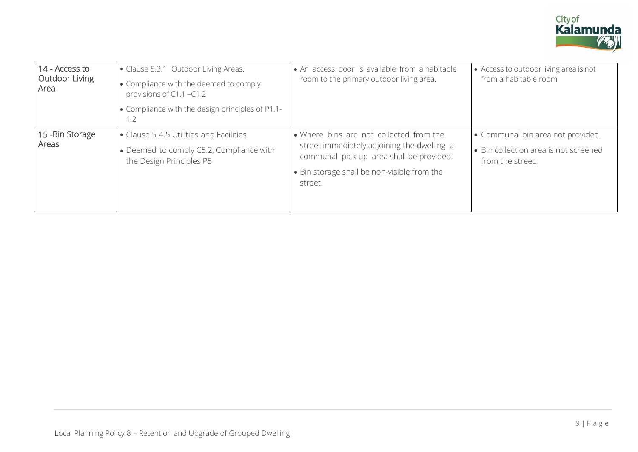

| 14 - Access to<br><b>Outdoor Living</b><br>Area | • Clause 5.3.1 Outdoor Living Areas.<br>• Compliance with the deemed to comply<br>provisions of C1.1 -C1.2<br>• Compliance with the design principles of P1.1-<br>1.2 | • An access door is available from a habitable<br>room to the primary outdoor living area.                                                                                                   | • Access to outdoor living area is not<br>from a habitable room                                |
|-------------------------------------------------|-----------------------------------------------------------------------------------------------------------------------------------------------------------------------|----------------------------------------------------------------------------------------------------------------------------------------------------------------------------------------------|------------------------------------------------------------------------------------------------|
| 15 - Bin Storage<br>Areas                       | • Clause 5.4.5 Utilities and Facilities<br>• Deemed to comply C5.2, Compliance with<br>the Design Principles P5                                                       | • Where bins are not collected from the<br>street immediately adjoining the dwelling a<br>communal pick-up area shall be provided.<br>• Bin storage shall be non-visible from the<br>street. | • Communal bin area not provided.<br>• Bin collection area is not screened<br>from the street. |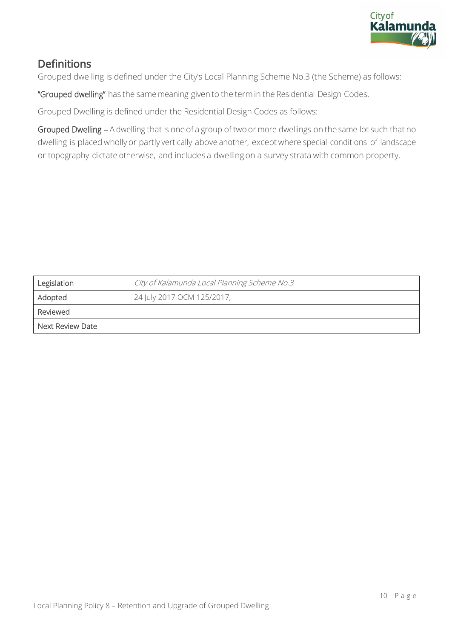

## **Definitions**

Grouped dwelling is defined under the City's Local Planning Scheme No.3 (the Scheme) as follows:

"Grouped dwelling" has the same meaning given to the term in the Residential Design Codes.

Grouped Dwelling is defined under the Residential Design Codes as follows:

Grouped Dwelling - A dwelling that is one of a group of two or more dwellings on the same lot such that no dwelling is placed wholly or partly vertically above another, except where special conditions of landscape or topography dictate otherwise, and includes a dwelling on a survey strata with common property.

| Legislation      | City of Kalamunda Local Planning Scheme No.3 |
|------------------|----------------------------------------------|
| Adopted          | 24 July 2017 OCM 125/2017,                   |
| Reviewed         |                                              |
| Next Review Date |                                              |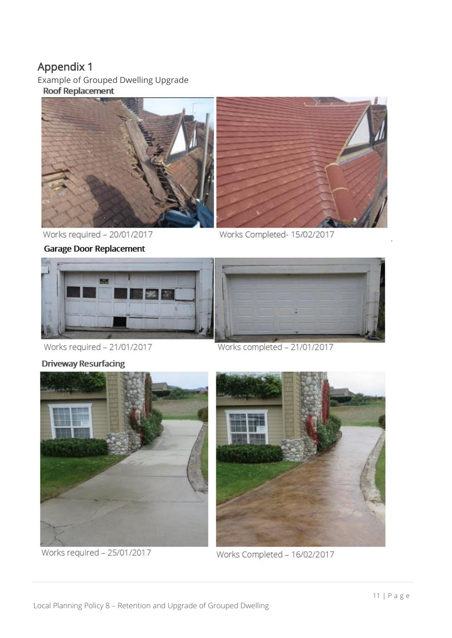# Appendix 1

Example of Grouped Dwelling Upgrade<br>Roof Replacement



Works required - 20/01/2017

**Garage Door Replacement** 



Works Completed- 15/02/2017



Works required - 21/01/2017

Works completed - 21/01/2017



Works required - 25/01/2017



Works Completed - 16/02/2017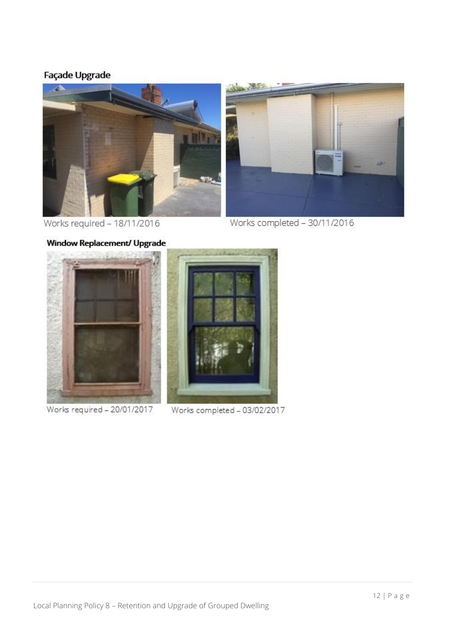### Façade Upgrade



Works required - 18/11/2016

Works completed - 30/11/2016



Works required - 20/01/2017



Works completed - 03/02/2017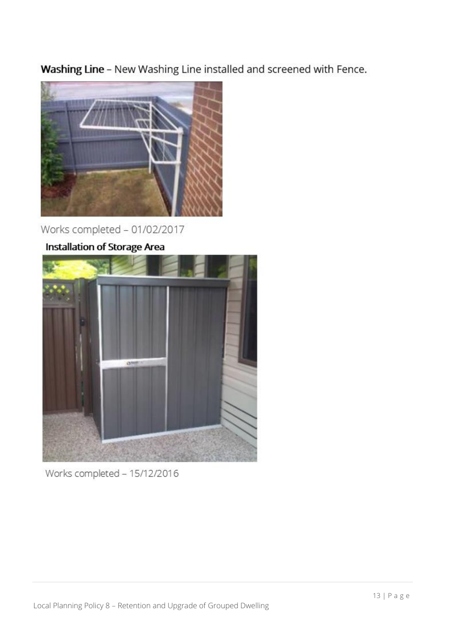Washing Line - New Washing Line installed and screened with Fence.



Works completed - 01/02/2017

# Installation of Storage Area



Works completed - 15/12/2016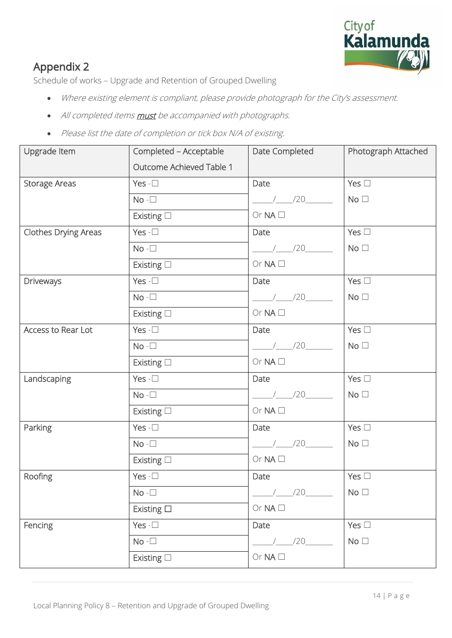

# Appendix 2

Schedule of works – Upgrade and Retention of Grouped Dwelling

- Where existing element is compliant, please provide photograph for the City's assessment.
- All completed items **must** be accompanied with photographs.
- Please list the date of completion or tick box N/A of existing.

| Upgrade Item         | Completed - Acceptable   | Date Completed     | Photograph Attached |
|----------------------|--------------------------|--------------------|---------------------|
|                      | Outcome Achieved Table 1 |                    |                     |
| <b>Storage Areas</b> | Yes - $\square$          | Date               | Yes $\square$       |
|                      | $No - \Box$              | $\frac{1}{20}$     | No <sub>1</sub>     |
|                      | Existing $\square$       | Or $NA$ $\square$  |                     |
| Clothes Drying Areas | Yes - $\square$          | Date               | Yes $\square$       |
|                      | $No - \Box$              | $\frac{1}{20}$ /20 | No <sub>1</sub>     |
|                      | Existing $\square$       | Or $NA$ $\square$  |                     |
| Driveways            | Yes $-\Box$              | Date               | Yes $\square$       |
|                      | $No - \Box$              | $\frac{1}{20}$     | No <sub>1</sub>     |
|                      | Existing $\square$       | Or $NA$ $\square$  |                     |
| Access to Rear Lot   | Yes - $\square$          | Date               | Yes $\square$       |
|                      | $No - \Box$              | $\frac{1}{20}$     | No <sub>1</sub>     |
|                      | Existing $\square$       | Or $NA$ $\square$  |                     |
| Landscaping          | Yes - $\square$          | Date               | Yes $\square$       |
|                      | $No - \Box$              | $\frac{1}{20}$     | No <sub>1</sub>     |
|                      | Existing $\square$       | Or $NA$ $\square$  |                     |
| Parking              | Yes - $\square$          | Date               | Yes $\square$       |
|                      | $No - \Box$              | $\frac{1}{20}$     | No <sub>1</sub>     |
|                      | Existing $\square$       | Or $NA$ $\square$  |                     |
| Roofing              | Yes - $\square$          | Date               | Yes $\square$       |
|                      | $No - \Box$              | /20                | No <sub>1</sub>     |
|                      | Existing $\square$       | Or $NA$ $\square$  |                     |
| Fencing              | Yes - $\square$          | Date               | Yes $\square$       |
|                      | $No - \Box$              | /20                | No $\Box$           |
|                      | Existing $\square$       | Or $NA$ $\square$  |                     |